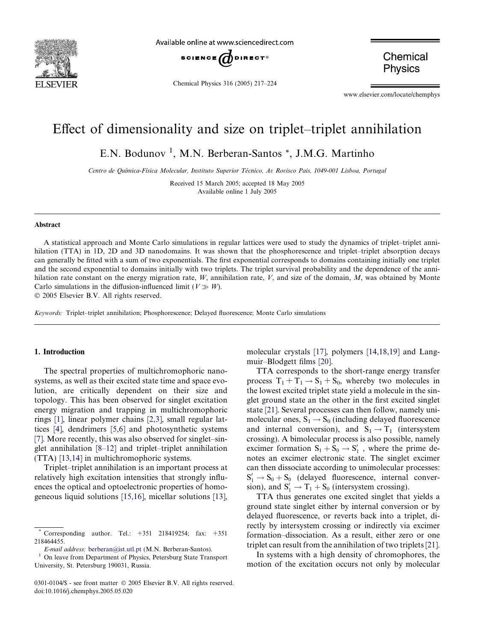

Available online at www.sciencedirect.com



Chemical Physics 316 (2005) 217–224

Chemical **Physics** 

www.elsevier.com/locate/chemphys

# Effect of dimensionality and size on triplet–triplet annihilation

E.N. Bodunov<sup>1</sup>, M.N. Berberan-Santos<sup>\*</sup>, J.M.G. Martinho

Centro de Química-Física Molecular, Instituto Superior Técnico, Av Rovisco Pais, 1049-001 Lisboa, Portugal

Received 15 March 2005; accepted 18 May 2005 Available online 1 July 2005

#### Abstract

A statistical approach and Monte Carlo simulations in regular lattices were used to study the dynamics of triplet–triplet annihilation (TTA) in 1D, 2D and 3D nanodomains. It was shown that the phosphorescence and triplet–triplet absorption decays can generally be fitted with a sum of two exponentials. The first exponential corresponds to domains containing initially one triplet and the second exponential to domains initially with two triplets. The triplet survival probability and the dependence of the annihilation rate constant on the energy migration rate,  $W$ , annihilation rate,  $V$ , and size of the domain,  $M$ , was obtained by Monte Carlo simulations in the diffusion-influenced limit ( $V \gg W$ ).

2005 Elsevier B.V. All rights reserved.

Keywords: Triplet–triplet annihilation; Phosphorescence; Delayed fluorescence; Monte Carlo simulations

#### 1. Introduction

The spectral properties of multichromophoric nanosystems, as well as their excited state time and space evolution, are critically dependent on their size and topology. This has been observed for singlet excitation energy migration and trapping in multichromophoric rings [\[1\],](#page-6-0) linear polymer chains [\[2,3\]](#page-6-0), small regular lattices [\[4\]](#page-6-0), dendrimers [\[5,6\]](#page-6-0) and photosynthetic systems [\[7\].](#page-6-0) More recently, this was also observed for singlet–singlet annihilation [\[8–12\]](#page-6-0) and triplet–triplet annihilation (TTA) [\[13,14\]](#page-6-0) in multichromophoric systems.

Triplet–triplet annihilation is an important process at relatively high excitation intensities that strongly influences the optical and optoelectronic properties of homogeneous liquid solutions [\[15,16\]](#page-6-0), micellar solutions [\[13\],](#page-6-0) molecular crystals [\[17\],](#page-6-0) polymers [\[14,18,19\]](#page-6-0) and Langmuir–Blodgett films [\[20\]](#page-6-0).

TTA corresponds to the short-range energy transfer process  $T_1 + T_1 \rightarrow S_1 + S_0$ , whereby two molecules in the lowest excited triplet state yield a molecule in the singlet ground state an the other in the first excited singlet state [\[21\]](#page-6-0). Several processes can then follow, namely unimolecular ones,  $S_1 \rightarrow S_0$  (including delayed fluorescence and internal conversion), and  $S_1 \rightarrow T_1$  (intersystem crossing). A bimolecular process is also possible, namely excimer formation  $S_1 + S_0 \rightarrow S'_1$ , where the prime denotes an excimer electronic state. The singlet excimer can then dissociate according to unimolecular processes:  $S'_1 \rightarrow S_0 + S_0$  (delayed fluorescence, internal conversion), and  $S'_1 \rightarrow T_1 + S_0$  (intersystem crossing).

TTA thus generates one excited singlet that yields a ground state singlet either by internal conversion or by delayed fluorescence, or reverts back into a triplet, directly by intersystem crossing or indirectly via excimer formation–dissociation. As a result, either zero or one triplet can result from the annihilation of two triplets[\[21\].](#page-6-0)

In systems with a high density of chromophores, the motion of the excitation occurs not only by molecular

Corresponding author. Tel.:  $+351$  218419254; fax:  $+351$ 218464455.

 $E$ -mail address: [berberan@ist.utl.pt](mailto:berberan@ist.utl.pt) (M.N. Berberan-Santos).<br><sup>1</sup> On leave from Department of Physics, Petersburg State Transport University, St. Petersburg 190031, Russia.

<sup>0301-0104/\$ -</sup> see front matter © 2005 Elsevier B.V. All rights reserved. doi:10.1016/j.chemphys.2005.05.020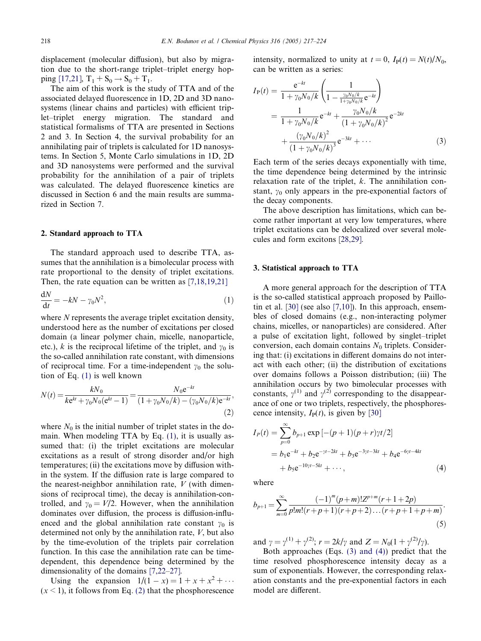<span id="page-1-0"></span>displacement (molecular diffusion), but also by migration due to the short-range triplet–triplet energy hop-ping [\[17,21\],](#page-6-0)  $T_1 + S_0 \rightarrow S_0 + T_1$ .

The aim of this work is the study of TTA and of the associated delayed fluorescence in 1D, 2D and 3D nanosystems (linear chains and particles) with efficient triplet–triplet energy migration. The standard and statistical formalisms of TTA are presented in Sections 2 and 3. In Section 4, the survival probability for an annihilating pair of triplets is calculated for 1D nanosystems. In Section 5, Monte Carlo simulations in 1D, 2D and 3D nanosystems were performed and the survival probability for the annihilation of a pair of triplets was calculated. The delayed fluorescence kinetics are discussed in Section 6 and the main results are summarized in Section 7.

### 2. Standard approach to TTA

The standard approach used to describe TTA, assumes that the annihilation is a bimolecular process with rate proportional to the density of triplet excitations. Then, the rate equation can be written as [\[7,18,19,21\]](#page-6-0)

$$
\frac{\mathrm{d}N}{\mathrm{d}t} = -kN - \gamma_0 N^2,\tag{1}
$$

where  $N$  represents the average triplet excitation density, understood here as the number of excitations per closed domain (a linear polymer chain, micelle, nanoparticle, etc.), k is the reciprocal lifetime of the triplet, and  $\gamma_0$  is the so-called annihilation rate constant, with dimensions of reciprocal time. For a time-independent  $\gamma_0$  the solution of Eq. (1) is well known

$$
N(t) = \frac{kN_0}{ke^{kt} + \gamma_0 N_0 (e^{kt} - 1)} = \frac{N_0 e^{-kt}}{(1 + \gamma_0 N_0 / k) - (\gamma_0 N_0 / k)e^{-kt}},
$$
\n(2)

where  $N_0$  is the initial number of triplet states in the domain. When modeling TTA by Eq. (1), it is usually assumed that: (i) the triplet excitations are molecular excitations as a result of strong disorder and/or high temperatures; (ii) the excitations move by diffusion within the system. If the diffusion rate is large compared to the nearest-neighbor annihilation rate,  $V$  (with dimensions of reciprocal time), the decay is annihilation-controlled, and  $\gamma_0 = V/2$ . However, when the annihilation dominates over diffusion, the process is diffusion-influenced and the global annihilation rate constant  $\gamma_0$  is determined not only by the annihilation rate, V, but also by the time-evolution of the triplets pair correlation function. In this case the annihilation rate can be timedependent, this dependence being determined by the dimensionality of the domains [\[7,22–27\].](#page-6-0)

Using the expansion  $1/(1-x) = 1 + x + x^2 + ...$  $(x < 1)$ , it follows from Eq. (2) that the phosphorescence intensity, normalized to unity at  $t = 0$ ,  $I_P(t) = N(t)/N_0$ , can be written as a series:

$$
I_{P}(t) = \frac{e^{-kt}}{1 + \gamma_0 N_0/k} \left( \frac{1}{1 - \frac{\gamma_0 N_0/k}{1 + \gamma_0 N_0/k}} e^{-kt} \right)
$$
  
= 
$$
\frac{1}{1 + \gamma_0 N_0/k} e^{-kt} + \frac{\gamma_0 N_0/k}{(1 + \gamma_0 N_0/k)^2} e^{-2kt}
$$
  
+ 
$$
\frac{(\gamma_0 N_0/k)^2}{(1 + \gamma_0 N_0/k)^3} e^{-3kt} + \cdots
$$
(3)

Each term of the series decays exponentially with time, the time dependence being determined by the intrinsic relaxation rate of the triplet,  $k$ . The annihilation constant,  $y_0$  only appears in the pre-exponential factors of the decay components.

The above description has limitations, which can become rather important at very low temperatures, where triplet excitations can be delocalized over several molecules and form excitons [\[28,29\]](#page-7-0).

#### 3. Statistical approach to TTA

A more general approach for the description of TTA is the so-called statistical approach proposed by Paillo-tin et al. [\[30\]](#page-7-0) (see also [\[7,10\]\)](#page-6-0). In this approach, ensembles of closed domains (e.g., non-interacting polymer chains, micelles, or nanoparticles) are considered. After a pulse of excitation light, followed by singlet–triplet conversion, each domain contains  $N_0$  triplets. Considering that: (i) excitations in different domains do not interact with each other; (ii) the distribution of excitations over domains follows a Poisson distribution; (iii) The annihilation occurs by two bimolecular processes with constants,  $\gamma^{(1)}$  and  $\gamma^{(2)}$  corresponding to the disappearance of one or two triplets, respectively, the phosphorescence intensity,  $I_P(t)$ , is given by [\[30\]](#page-7-0)

$$
I_P(t) = \sum_{p=0}^{\infty} b_{p+1} \exp[-(p+1)(p+r)\gamma t/2]
$$
  
=  $b_1 e^{-kt} + b_2 e^{-\gamma t - 2kt} + b_3 e^{-3\gamma t - 3kt} + b_4 e^{-6\gamma t - 4kt}$   
+  $b_5 e^{-10\gamma t - 5kt} + \cdots,$  (4)

where

$$
b_{p+1} = \sum_{m=0}^{\infty} \frac{(-1)^m (p+m)! Z^{p+m} (r+1+2p)}{p! m! (r+p+1)(r+p+2) \dots (r+p+1+p+m)}.
$$
\n(5)

and  $\gamma = \gamma^{(1)} + \gamma^{(2)}$ ;  $r = 2k/\gamma$  and  $Z = N_0(1 + \gamma^{(2)}/\gamma)$ .

Both approaches (Eqs. (3) and (4)) predict that the time resolved phosphorescence intensity decay as a sum of exponentials. However, the corresponding relaxation constants and the pre-exponential factors in each model are different.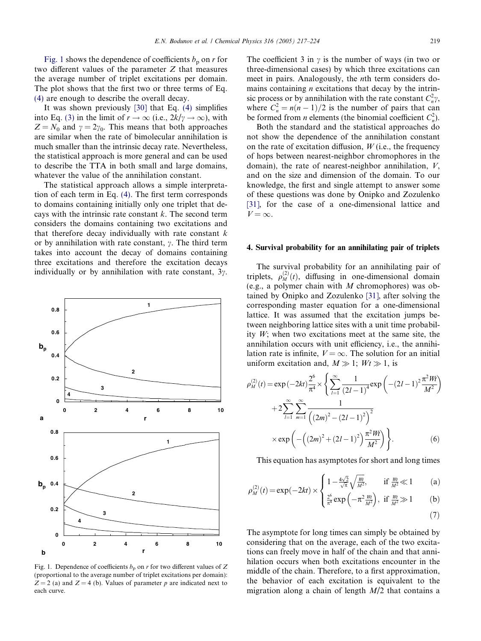<span id="page-2-0"></span>Fig. 1 shows the dependence of coefficients  $b_p$  on r for two different values of the parameter Z that measures the average number of triplet excitations per domain. The plot shows that the first two or three terms of Eq. [\(4\)](#page-1-0) are enough to describe the overall decay.

It was shown previously [\[30\]](#page-7-0) that Eq. [\(4\)](#page-1-0) simplifies into Eq. [\(3\)](#page-1-0) in the limit of  $r \to \infty$  (i.e.,  $2k/\gamma \to \infty$ ), with  $Z = N_0$  and  $\gamma = 2\gamma_0$ . This means that both approaches are similar when the rate of bimolecular annihilation is much smaller than the intrinsic decay rate. Nevertheless, the statistical approach is more general and can be used to describe the TTA in both small and large domains, whatever the value of the annihilation constant.

The statistical approach allows a simple interpretation of each term in Eq. [\(4\).](#page-1-0) The first term corresponds to domains containing initially only one triplet that decays with the intrinsic rate constant  $k$ . The second term considers the domains containing two excitations and that therefore decay individually with rate constant  $k$ or by annihilation with rate constant,  $\gamma$ . The third term takes into account the decay of domains containing three excitations and therefore the excitation decays individually or by annihilation with rate constant,  $3\gamma$ .



Fig. 1. Dependence of coefficients  $b_p$  on r for two different values of Z (proportional to the average number of triplet excitations per domain):  $Z = 2$  (a) and  $Z = 4$  (b). Values of parameter p are indicated next to each curve.

The coefficient 3 in  $\gamma$  is the number of ways (in two or three-dimensional cases) by which three excitations can meet in pairs. Analogously, the nth term considers domains containing  $n$  excitations that decay by the intrinsic process or by annihilation with the rate constant  $C_n^2 \gamma$ , where  $C_n^2 = n(n-1)/2$  is the number of pairs that can be formed from *n* elements (the binomial coefficient  $C_n^2$ ).

Both the standard and the statistical approaches do not show the dependence of the annihilation constant on the rate of excitation diffusion,  $W$  (i.e., the frequency of hops between nearest-neighbor chromophores in the domain), the rate of nearest-neighbor annihilation, V, and on the size and dimension of the domain. To our knowledge, the first and single attempt to answer some of these questions was done by Onipko and Zozulenko [\[31\],](#page-7-0) for the case of a one-dimensional lattice and  $V = \infty$ .

#### 4. Survival probability for an annihilating pair of triplets

The survival probability for an annihilating pair of triplets,  $\rho_M^{(2)}(t)$ , diffusing in one-dimensional domain (e.g., a polymer chain with  $M$  chromophores) was obtained by Onipko and Zozulenko [\[31\],](#page-7-0) after solving the corresponding master equation for a one-dimensional lattice. It was assumed that the excitation jumps between neighboring lattice sites with a unit time probability W; when two excitations meet at the same site, the annihilation occurs with unit efficiency, i.e., the annihilation rate is infinite,  $V = \infty$ . The solution for an initial uniform excitation and,  $M \gg 1$ ;  $Wt \gg 1$ , is

$$
\rho_M^{(2)}(t) = \exp(-2kt) \frac{2^6}{\pi^4} \times \left\{ \sum_{l=1}^{\infty} \frac{1}{(2l-1)^4} \exp\left(-(2l-1)^2 \frac{\pi^2 Wt}{M^2}\right) + 2 \sum_{l=1}^{\infty} \sum_{m=1}^{\infty} \frac{1}{\left((2m)^2 - (2l-1)^2\right)^2} \times \exp\left(-\left((2m)^2 + (2l-1)^2\right) \frac{\pi^2 Wt}{M^2}\right) \right\}.
$$
 (6)

This equation has asymptotes for short and long times

$$
\rho_M^{(2)}(t) = \exp(-2kt) \times \begin{cases} 1 - \frac{4\sqrt{2}}{\sqrt{\pi}} \sqrt{\frac{W_t}{M^2}}, & \text{if } \frac{W_t}{M^2} \ll 1 \\ \frac{2^6}{\pi^4} \exp(-\pi^2 \frac{W_t}{M^2}), & \text{if } \frac{W_t}{M^2} \gg 1 \end{cases}
$$
 (a)

$$
(\mathbf{7})
$$

The asymptote for long times can simply be obtained by considering that on the average, each of the two excitations can freely move in half of the chain and that annihilation occurs when both excitations encounter in the middle of the chain. Therefore, to a first approximation, the behavior of each excitation is equivalent to the migration along a chain of length  $M/2$  that contains a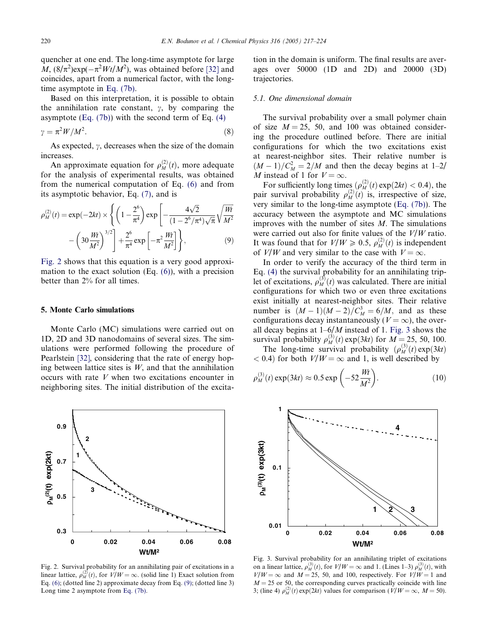<span id="page-3-0"></span>quencher at one end. The long-time asymptote for large  $M$ ,  $\left(8/\pi^2\right)$ exp( $-\pi^2 Wt/M^2$ ), was obtained before [\[32\]](#page-7-0) and coincides, apart from a numerical factor, with the longtime asymptote in [Eq. \(7b\).](#page-2-0)

Based on this interpretation, it is possible to obtain the annihilation rate constant,  $\gamma$ , by comparing the asymptote  $(Eq. (7b))$  with the second term of Eq.  $(4)$ 

$$
\gamma = \pi^2 W / M^2. \tag{8}
$$

As expected,  $\gamma$ , decreases when the size of the domain increases.

An approximate equation for  $\rho_M^{(2)}(t)$ , more adequate for the analysis of experimental results, was obtained from the numerical computation of Eq. [\(6\)](#page-2-0) and from its asymptotic behavior, Eq. [\(7\)](#page-2-0), and is

$$
\rho_M^{(2)}(t) = \exp(-2kt) \times \left\{ \left( 1 - \frac{2^6}{\pi^4} \right) \exp\left[ -\frac{4\sqrt{2}}{(1 - 2^6/\pi^4)\sqrt{\pi}} \sqrt{\frac{Wt}{M^2}} - \left( 30 \frac{Wt}{M^2} \right)^{3/2} \right] + \frac{2^6}{\pi^4} \exp\left[ -\pi^2 \frac{Wt}{M^2} \right] \right\},
$$
\n(9)

Fig. 2 shows that this equation is a very good approximation to the exact solution (Eq. [\(6\)\)](#page-2-0), with a precision better than 2% for all times.

#### 5. Monte Carlo simulations

Monte Carlo (MC) simulations were carried out on 1D, 2D and 3D nanodomains of several sizes. The simulations were performed following the procedure of Pearlstein [\[32\]](#page-7-0), considering that the rate of energy hoping between lattice sites is  $W$ , and that the annihilation occurs with rate V when two excitations encounter in neighboring sites. The initial distribution of the excita-



Fig. 2. Survival probability for an annihilating pair of excitations in a linear lattice,  $\rho_M^{(2)}(t)$ , for  $V/W = \infty$ . (solid line 1) Exact solution from Eq. [\(6\);](#page-2-0) (dotted line 2) approximate decay from Eq. (9); (dotted line 3) Long time 2 asymptote from [Eq. \(7b\).](#page-2-0)

tion in the domain is uniform. The final results are averages over 50000 (1D and 2D) and 20000 (3D) trajectories.

#### 5.1. One dimensional domain

The survival probability over a small polymer chain of size  $M = 25$ , 50, and 100 was obtained considering the procedure outlined before. There are initial configurations for which the two excitations exist at nearest-neighbor sites. Their relative number is  $(M-1)/C_M^2 = 2/M$  and then the decay begins at 1–2/ M instead of 1 for  $V = \infty$ .

For sufficiently long times  $(\rho_M^{(2)}(t) \exp(2kt) < 0.4)$ , the pair survival probability  $\rho_M^{(2)}(t)$  is, irrespective of size, very similar to the long-time asymptote [\(Eq. \(7b\)\)](#page-2-0). The accuracy between the asymptote and MC simulations improves with the number of sites  $M$ . The simulations were carried out also for finite values of the  $V/W$  ratio. It was found that for  $V/W \ge 0.5$ ,  $\rho_M^{(2)}(t)$  is independent of  $V/W$  and very similar to the case with  $V = \infty$ .

In order to verify the accuracy of the third term in Eq. [\(4\)](#page-1-0) the survival probability for an annihilating triplet of excitations,  $\rho_M^{(3)}(t)$  was calculated. There are initial configurations for which two or even three excitations exist initially at nearest-neighbor sites. Their relative number is  $(M-1)(M-2)/C_M^3 = 6/M$ , and as these configurations decay instantaneously ( $V = \infty$ ), the overall decay begins at  $1-6/M$  instead of 1. Fig. 3 shows the survival probability  $\rho_M^{(3)}(t) \exp(3kt)$  for  $M = 25, 50, 100$ .

The long-time survival probability  $(\rho_M^{(3)}(t) \exp(3kt))$  $< 0.4$ ) for both  $V/W = \infty$  and 1, is well described by

$$
\rho_M^{(3)}(t) \exp(3kt) \approx 0.5 \exp\left(-52 \frac{Wt}{M^2}\right). \tag{10}
$$



Fig. 3. Survival probability for an annihilating triplet of excitations on a linear lattice,  $\rho_M^{(3)}(t)$ , for  $V/W = \infty$  and 1. (Lines 1–3)  $\rho_M^{(3)}(t)$ , with  $V/W = \infty$  and  $M = 25$ , 50, and 100, respectively. For  $V/W = 1$  and  $M = 25$  or 50, the corresponding curves practically coincide with line 3; (line 4)  $\rho_M^{(2)}(t) \exp(2kt)$  values for comparison  $(V/W = \infty, M = 50)$ .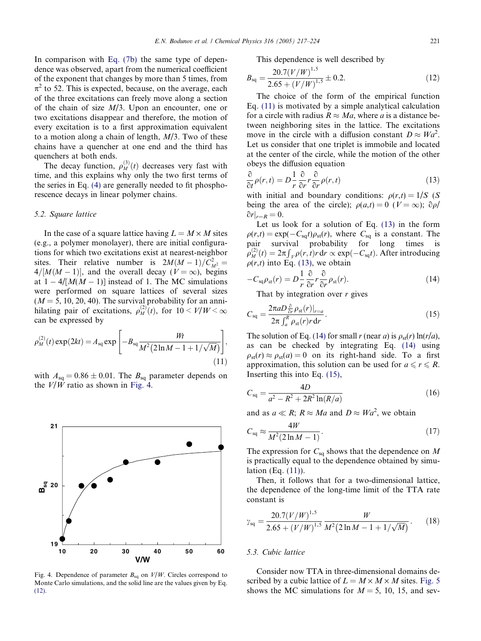In comparison with [Eq. \(7b\)](#page-2-0) the same type of dependence was observed, apart from the numerical coefficient of the exponent that changes by more than 5 times, from  $\pi^2$  to 52. This is expected, because, on the average, each of the three excitations can freely move along a section of the chain of size  $M/3$ . Upon an encounter, one or two excitations disappear and therefore, the motion of every excitation is to a first approximation equivalent to a motion along a chain of length,  $M/3$ . Two of these chains have a quencher at one end and the third has quenchers at both ends.

The decay function,  $\rho_M^{(3)}(t)$  decreases very fast with time, and this explains why only the two first terms of the series in Eq. [\(4\)](#page-1-0) are generally needed to fit phosphorescence decays in linear polymer chains.

# 5.2. Square lattice

In the case of a square lattice having  $L = M \times M$  sites (e.g., a polymer monolayer), there are initial configurations for which two excitations exist at nearest-neighbor sites. Their relative number is  $2M(M-1)/C_{M^2}^2 =$  $4/[M(M-1)]$ , and the overall decay ( $V = \infty$ ), begins at  $1 - 4/[M(M-1)]$  instead of 1. The MC simulations were performed on square lattices of several sizes  $(M = 5, 10, 20, 40)$ . The survival probability for an annihilating pair of excitations,  $\rho_M^{(2)}(t)$ , for  $10 \le V/W \le \infty$ can be expressed by

$$
\rho_M^{(2)}(t) \exp(2kt) = A_{\text{sq}} \exp\left[-B_{\text{sq}} \frac{Wt}{M^2 (2 \ln M - 1 + 1/\sqrt{M})}\right],\tag{11}
$$

with  $A_{\text{sq}} = 0.86 \pm 0.01$ . The  $B_{\text{sq}}$  parameter depends on the  $V/W$  ratio as shown in Fig. 4.



Fig. 4. Dependence of parameter  $B_{sq}$  on  $V/W$ . Circles correspond to Monte Carlo simulations, and the solid line are the values given by Eq. (12).

This dependence is well described by

$$
B_{\text{sq}} = \frac{20.7(V/W)^{1.5}}{2.65 + (V/W)^{1.5}} \pm 0.2.
$$
 (12)

The choice of the form of the empirical function Eq. (11) is motivated by a simple analytical calculation for a circle with radius  $R \approx Ma$ , where a is a distance between neighboring sites in the lattice. The excitations move in the circle with a diffusion constant  $D \approx Wa^2$ . Let us consider that one triplet is immobile and located at the center of the circle, while the motion of the other obeys the diffusion equation

$$
\frac{\partial}{\partial t}\rho(r,t) = D\frac{1}{r}\frac{\partial}{\partial r}r\frac{\partial}{\partial r}\rho(r,t)
$$
\n(13)

with initial and boundary conditions:  $\rho(r,t) = 1/S$  (S being the area of the circle);  $\rho(a,t)=0$  ( $V = \infty$ );  $\partial \rho$ /  $\partial r|_{r=R} = 0.$ 

Let us look for a solution of Eq. (13) in the form  $\rho(r,t) = \exp(-C_{\text{sq}}t)\rho_{\text{st}}(r)$ , where  $C_{\text{sq}}$  is a constant. The pair survival probability for long times is  $\rho_M^{(2)}(t) = 2\pi \int_V \rho(r, t) r \, dr \propto \exp(-C_{\text{sq}} t)$ . After introducing  $\rho(r,t)$  into Eq. (13), we obtain

$$
-C_{\rm sq}\rho_{\rm st}(r) = D\frac{1}{r}\frac{\partial}{\partial r}r\frac{\partial}{\partial r}\rho_{\rm st}(r). \tag{14}
$$

That by integration over  $r$  gives

$$
C_{\text{sq}} = \frac{2\pi a D \frac{\partial}{\partial r} \rho_{\text{st}}(r)|_{r=a}}{2\pi \int_a^R \rho_{\text{st}}(r) r \, dr}.
$$
\n(15)

The solution of Eq. (14) for small r (near a) is  $\rho_{st}(r) \ln(r/a)$ , as can be checked by integrating Eq. (14) using  $\rho_{st}(r) \approx \rho_{st}(a) = 0$  on its right-hand side. To a first approximation, this solution can be used for  $a \le r \le R$ . Inserting this into Eq. (15),

$$
C_{\text{sq}} = \frac{4D}{a^2 - R^2 + 2R^2 \ln(R/a)}\tag{16}
$$

and as  $a \ll R$ ;  $R \approx Ma$  and  $D \approx Wa^2$ , we obtain

$$
C_{\text{sq}} \approx \frac{4W}{M^2 (2 \ln M - 1)}.\tag{17}
$$

The expression for  $C_{sq}$  shows that the dependence on M is practically equal to the dependence obtained by simulation (Eq. (11)).

Then, it follows that for a two-dimensional lattice, the dependence of the long-time limit of the TTA rate constant is

$$
\gamma_{\text{sq}} = \frac{20.7(V/W)^{1.5}}{2.65 + (V/W)^{1.5}} \frac{W}{M^2 (2 \ln M - 1 + 1/\sqrt{M})}.
$$
 (18)

# 5.3. Cubic lattice

Consider now TTA in three-dimensional domains described by a cubic lattice of  $L = M \times M \times M$  sites. [Fig. 5](#page-5-0) shows the MC simulations for  $M = 5$ , 10, 15, and sev-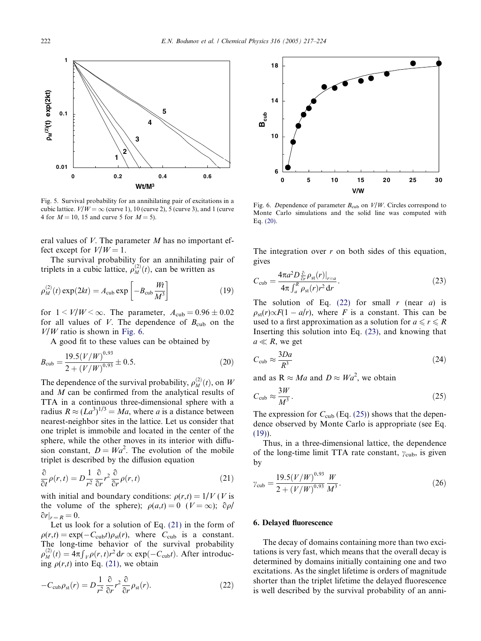<span id="page-5-0"></span>

Fig. 5. Survival probability for an annihilating pair of excitations in a cubic lattice.  $V/W = \infty$  (curve 1), 10 (curve 2), 5 (curve 3), and 1 (curve 4 for  $M = 10$ , 15 and curve 5 for  $M = 5$ ).

eral values of  $V$ . The parameter  $M$  has no important effect except for  $V/W = 1$ .

The survival probability for an annihilating pair of triplets in a cubic lattice,  $\rho_M^{(2)}(t)$ , can be written as

$$
\rho_M^{(2)}(t) \exp(2kt) = A_{\text{cub}} \exp\left[-B_{\text{cub}} \frac{Wt}{M^3}\right]
$$
\n(19)

for  $1 < V/W < \infty$ . The parameter,  $A_{\text{cub}} = 0.96 \pm 0.02$ for all values of V. The dependence of  $B_{\text{cub}}$  on the  $V/W$  ratio is shown in Fig. 6.

A good fit to these values can be obtained by

$$
B_{\rm cub} = \frac{19.5(V/W)^{0.93}}{2 + (V/W)^{0.93}} \pm 0.5.
$$
 (20)

The dependence of the survival probability,  $\rho_M^{(2)}(t)$ , on W and M can be confirmed from the analytical results of TTA in a continuous three-dimensional sphere with a radius  $R \approx (La^3)^{1/3} = Ma$ , where a is a distance between nearest-neighbor sites in the lattice. Let us consider that one triplet is immobile and located in the center of the sphere, while the other moves in its interior with diffusion constant,  $D = Wa^2$ . The evolution of the mobile triplet is described by the diffusion equation

$$
\frac{\partial}{\partial t}\rho(r,t) = D\frac{1}{r^2}\frac{\partial}{\partial r}r^2\frac{\partial}{\partial r}\rho(r,t)
$$
\n(21)

with initial and boundary conditions:  $\rho(r,t) = 1/V$  (V is the volume of the sphere);  $\rho(a,t)=0$  ( $V = \infty$ );  $\partial \rho$ /  $\partial r|_{r=R} = 0.$ 

Let us look for a solution of Eq. (21) in the form of  $\rho(r,t) = \exp(-C_{\rm cub}t)\rho_{\rm st}(r)$ , where  $C_{\rm cub}$  is a constant. The long-time behavior of the survival probability  $\rho_M^{(2)}(t) = 4\pi \int_V \rho(r,t) r^2 dr \propto \exp(-C_{\text{cub}}t)$ . After introducing  $\rho(r,t)$  into Eq. (21), we obtain

$$
-C_{\rm cub}\rho_{\rm st}(r) = D\frac{1}{r^2}\frac{\partial}{\partial r}r^2\frac{\partial}{\partial r}\rho_{\rm st}(r). \tag{22}
$$



Fig. 6. Dependence of parameter  $B_{\text{cub}}$  on  $V/W$ . Circles correspond to Monte Carlo simulations and the solid line was computed with Eq. (20).

The integration over  $r$  on both sides of this equation, gives

$$
C_{\rm cub} = \frac{4\pi a^2 D_{\hat{v}}^2 \rho_{\rm st}(r)|_{r=a}}{4\pi \int_a^R \rho_{\rm st}(r)r^2 dr}.
$$
 (23)

The solution of Eq.  $(22)$  for small r (near a) is  $\rho_{\rm st}(r) \propto F(1 - a/r)$ , where F is a constant. This can be used to a first approximation as a solution for  $a \le r \le R$ Inserting this solution into Eq. (23), and knowing that  $a \ll R$ , we get

$$
C_{\rm cub} \approx \frac{3Da}{R^3} \tag{24}
$$

and as  $R \approx Ma$  and  $D \approx Wa^2$ , we obtain

$$
C_{\rm cub} \approx \frac{3W}{M^3}.\tag{25}
$$

The expression for  $C_{\text{cub}}$  (Eq. (25)) shows that the dependence observed by Monte Carlo is appropriate (see Eq. (19)).

Thus, in a three-dimensional lattice, the dependence of the long-time limit TTA rate constant,  $\gamma_{\text{cub}}$ , is given by

$$
\gamma_{\rm cub} = \frac{19.5 (V/W)^{0.93} W}{2 + (V/W)^{0.93} M^3}.
$$
\n(26)

## 6. Delayed fluorescence

The decay of domains containing more than two excitations is very fast, which means that the overall decay is determined by domains initially containing one and two excitations. As the singlet lifetime is orders of magnitude shorter than the triplet lifetime the delayed fluorescence is well described by the survival probability of an anni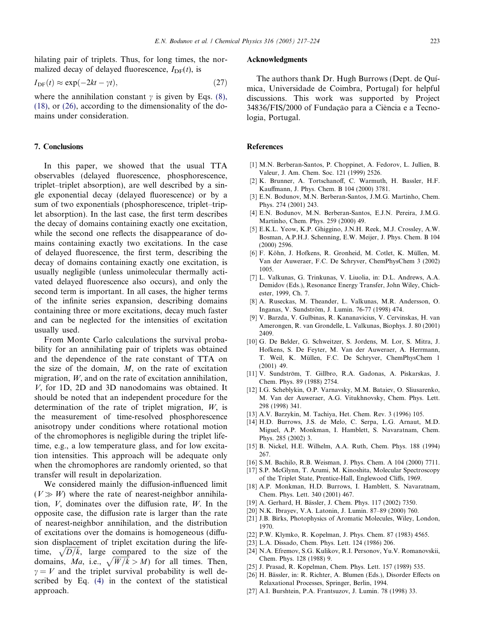<span id="page-6-0"></span>hilating pair of triplets. Thus, for long times, the normalized decay of delayed fluorescence,  $I_{\text{DF}}(t)$ , is

$$
I_{\rm DF}(t) \approx \exp(-2kt - \gamma t),\tag{27}
$$

where the annihilation constant  $\gamma$  is given by Eqs. [\(8\),](#page-3-0) [\(18\)](#page-3-0), or [\(26\)](#page-5-0), according to the dimensionality of the domains under consideration.

#### 7. Conclusions

In this paper, we showed that the usual TTA observables (delayed fluorescence, phosphorescence, triplet–triplet absorption), are well described by a single exponential decay (delayed fluorescence) or by a sum of two exponentials (phosphorescence, triplet–triplet absorption). In the last case, the first term describes the decay of domains containing exactly one excitation, while the second one reflects the disappearance of domains containing exactly two excitations. In the case of delayed fluorescence, the first term, describing the decay of domains containing exactly one excitation, is usually negligible (unless unimolecular thermally activated delayed fluorescence also occurs), and only the second term is important. In all cases, the higher terms of the infinite series expansion, describing domains containing three or more excitations, decay much faster and can be neglected for the intensities of excitation usually used.

From Monte Carlo calculations the survival probability for an annihilating pair of triplets was obtained and the dependence of the rate constant of TTA on the size of the domain,  $M$ , on the rate of excitation migration, W, and on the rate of excitation annihilation. V, for 1D, 2D and 3D nanodomains was obtained. It should be noted that an independent procedure for the determination of the rate of triplet migration, W, is the measurement of time-resolved phosphorescence anisotropy under conditions where rotational motion of the chromophores is negligible during the triplet lifetime, e.g., a low temperature glass, and for low excitation intensities. This approach will be adequate only when the chromophores are randomly oriented, so that transfer will result in depolarization.

We considered mainly the diffusion-influenced limit  $(V \gg W)$  where the rate of nearest-neighbor annihilation, V, dominates over the diffusion rate, W. In the opposite case, the diffusion rate is larger than the rate of nearest-neighbor annihilation, and the distribution of excitations over the domains is homogeneous (diffusion displacement of triplet excitation during the lifetime,  $\sqrt{D/k}$ , large compared to the size of the domains, Ma, i.e.,  $\sqrt{W/k} > M$ ) for all times. Then,  $\gamma = V$  and the triplet survival probability is well described by Eq. [\(4\)](#page-1-0) in the context of the statistical approach.

# Acknowledgments

The authors thank Dr. Hugh Burrows (Dept. de Quı´ mica, Universidade de Coimbra, Portugal) for helpful discussions. This work was supported by Project 34836/FIS/2000 of Fundação para a Ciência e a Tecnologia, Portugal.

#### References

- [1] M.N. Berberan-Santos, P. Choppinet, A. Fedorov, L. Jullien, B. Valeur, J. Am. Chem. Soc. 121 (1999) 2526.
- [2] K. Brunner, A. Tortschanoff, C. Warmuth, H. Bassler, H.F. Kauffmann, J. Phys. Chem. B 104 (2000) 3781.
- [3] E.N. Bodunov, M.N. Berberan-Santos, J.M.G. Martinho, Chem. Phys. 274 (2001) 243.
- [4] E.N. Bodunov, M.N. Berberan-Santos, E.J.N. Pereira, J.M.G. Martinho, Chem. Phys. 259 (2000) 49.
- [5] E.K.L. Yeow, K.P. Ghiggino, J.N.H. Reek, M.J. Crossley, A.W. Bosman, A.P.H.J. Schenning, E.W. Meijer, J. Phys. Chem. B 104 (2000) 2596.
- [6] F. Köhn, J. Hofkens, R. Gronheid, M. Cotlet, K. Müllen, M. Van der Auweraer, F.C. De Schryver, ChemPhysChem 3 (2002) 1005.
- [7] L. Valkunas, G. Trinkunas, V. Liuolia, in: D.L. Andrews, A.A. Demidov (Eds.), Resonance Energy Transfer, John Wiley, Chichester, 1999, Ch. 7.
- [8] A. Ruseckas, M. Theander, L. Valkunas, M.R. Andersson, O. Inganas, V. Sundström, J. Lumin. 76-77 (1998) 474.
- [9] V. Barzda, V. Gulbinas, R. Kananavicius, V. Cervinskas, H. van Amerongen, R. van Grondelle, L. Valkunas, Biophys. J. 80 (2001) 2409.
- [10] G. De Belder, G. Schweitzer, S. Jordens, M. Lor, S. Mitra, J. Hofkens, S. De Feyter, M. Van der Auweraer, A. Herrmann, T. Weil, K. Müllen, F.C. De Schryver, ChemPhysChem 1 (2001) 49.
- [11] V. Sundström, T. Gillbro, R.A. Gadonas, A. Piskarskas, J. Chem. Phys. 89 (1988) 2754.
- [12] I.G. Scheblykin, O.P. Varnavsky, M.M. Bataiev, O. Sliusarenko, M. Van der Auweraer, A.G. Vitukhnovsky, Chem. Phys. Lett. 298 (1998) 341.
- [13] A.V. Barzykin, M. Tachiya, Het. Chem. Rev. 3 (1996) 105.
- [14] H.D. Burrows, J.S. de Melo, C. Serpa, L.G. Arnaut, M.D. Miguel, A.P. Monkman, I. Hamblett, S. Navaratnam, Chem. Phys. 285 (2002) 3.
- [15] B. Nickel, H.E. Wilhelm, A.A. Ruth, Chem. Phys. 188 (1994) 267.
- [16] S.M. Bachilo, R.B. Weisman, J. Phys. Chem. A 104 (2000) 7711.
- [17] S.P. McGlynn, T. Azumi, M. Kinoshita, Molecular Spectroscopy of the Triplet State, Prentice-Hall, Englewood Cliffs, 1969.
- [18] A.P. Monkman, H.D. Burrows, I. Hamblett, S. Navaratnam, Chem. Phys. Lett. 340 (2001) 467.
- [19] A. Gerhard, H. Bässler, J. Chem. Phys. 117 (2002) 7350.
- [20] N.K. Ibrayev, V.A. Latonin, J. Lumin. 87–89 (2000) 760.
- [21] J.B. Birks, Photophysics of Aromatic Molecules, Wiley, London, 1970.
- [22] P.W. Klymko, R. Kopelman, J. Phys. Chem. 87 (1983) 4565.
- [23] L.A. Dissado, Chem. Phys. Lett. 124 (1986) 206.
- [24] N.A. Efremov, S.G. Kulikov, R.I. Personov, Yu.V. Romanovskii, Chem. Phys. 128 (1988) 9.
- [25] J. Prasad, R. Kopelman, Chem. Phys. Lett. 157 (1989) 535.
- [26] H. Bässler, in: R. Richter, A. Blumen (Eds.), Disorder Effects on Relaxational Processes, Springer, Berlin, 1994.
- [27] A.I. Burshtein, P.A. Frantsuzov, J. Lumin. 78 (1998) 33.